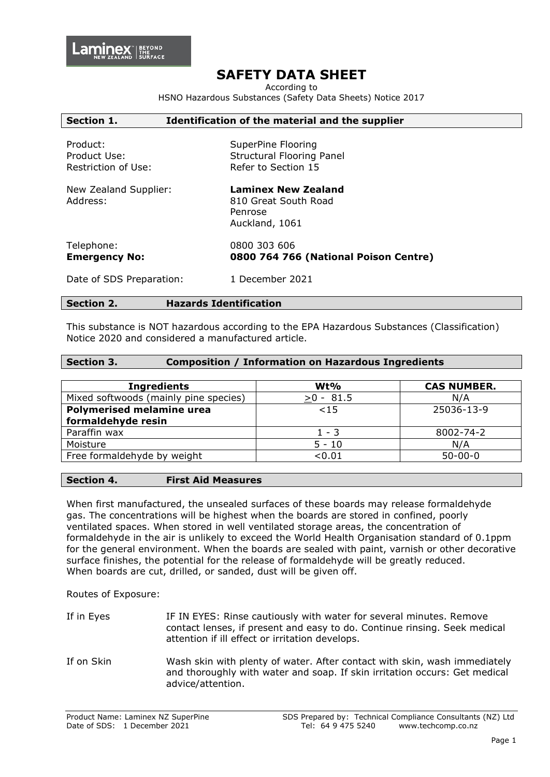# **SAFETY DATA SHEET**

According to

HSNO Hazardous Substances (Safety Data Sheets) Notice 2017

| Section 1.                                      | Identification of the material and the supplier                                 |
|-------------------------------------------------|---------------------------------------------------------------------------------|
| Product:<br>Product Use:<br>Restriction of Use: | SuperPine Flooring<br><b>Structural Flooring Panel</b><br>Refer to Section 15   |
| New Zealand Supplier:<br>Address:               | <b>Laminex New Zealand</b><br>810 Great South Road<br>Penrose<br>Auckland, 1061 |
| Telephone:<br><b>Emergency No:</b>              | 0800 303 606<br>0800 764 766 (National Poison Centre)                           |
| Date of SDS Preparation:                        | 1 December 2021                                                                 |

#### **Section 2. Hazards Identification**

This substance is NOT hazardous according to the EPA Hazardous Substances (Classification) Notice 2020 and considered a manufactured article.

### **Section 3. Composition / Information on Hazardous Ingredients**

| $Wt\%$      | <b>CAS NUMBER.</b> |
|-------------|--------------------|
| $>0 - 81.5$ | N/A                |
| < 15        | 25036-13-9         |
|             |                    |
| $1 - 3$     | 8002-74-2          |
| $5 - 10$    | N/A                |
| < 0.01      | $50 - 00 - 0$      |
|             |                    |

#### **Section 4. First Aid Measures**

When first manufactured, the unsealed surfaces of these boards may release formaldehyde gas. The concentrations will be highest when the boards are stored in confined, poorly ventilated spaces. When stored in well ventilated storage areas, the concentration of formaldehyde in the air is unlikely to exceed the World Health Organisation standard of 0.1ppm for the general environment. When the boards are sealed with paint, varnish or other decorative surface finishes, the potential for the release of formaldehyde will be greatly reduced. When boards are cut, drilled, or sanded, dust will be given off.

Routes of Exposure:

- If in Eyes IF IN EYES: Rinse cautiously with water for several minutes. Remove contact lenses, if present and easy to do. Continue rinsing. Seek medical attention if ill effect or irritation develops.
- If on Skin Wash skin with plenty of water. After contact with skin, wash immediately and thoroughly with water and soap. If skin irritation occurs: Get medical advice/attention.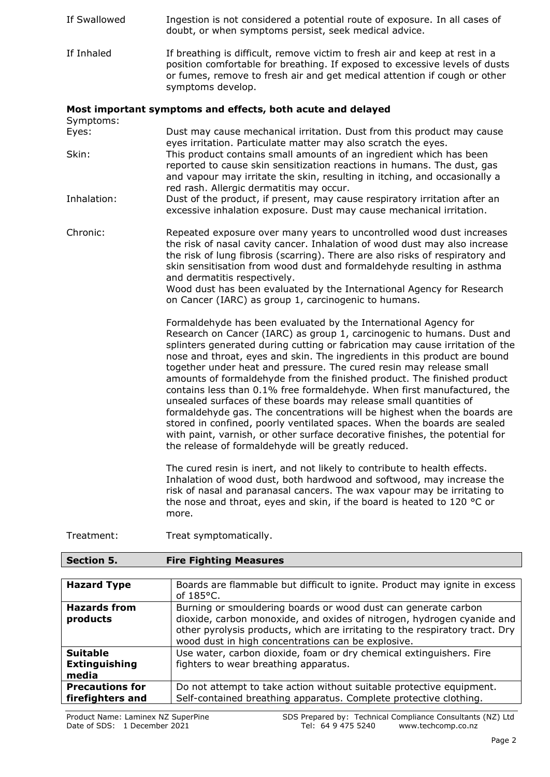- If Swallowed Ingestion is not considered a potential route of exposure. In all cases of doubt, or when symptoms persist, seek medical advice. If Inhaled If breathing is difficult, remove victim to fresh air and keep at rest in a
- position comfortable for breathing. If exposed to excessive levels of dusts or fumes, remove to fresh air and get medical attention if cough or other symptoms develop.

## **Most important symptoms and effects, both acute and delayed**

Symptoms:

- Eyes: Dust may cause mechanical irritation. Dust from this product may cause eyes irritation. Particulate matter may also scratch the eyes. Skin: This product contains small amounts of an ingredient which has been reported to cause skin sensitization reactions in humans. The dust, gas and vapour may irritate the skin, resulting in itching, and occasionally a red rash. Allergic dermatitis may occur.
- Inhalation: Dust of the product, if present, may cause respiratory irritation after an excessive inhalation exposure. Dust may cause mechanical irritation.
- Chronic: Repeated exposure over many years to uncontrolled wood dust increases the risk of nasal cavity cancer. Inhalation of wood dust may also increase the risk of lung fibrosis (scarring). There are also risks of respiratory and skin sensitisation from wood dust and formaldehyde resulting in asthma and dermatitis respectively.

Wood dust has been evaluated by the International Agency for Research on Cancer (IARC) as group 1, carcinogenic to humans.

Formaldehyde has been evaluated by the International Agency for Research on Cancer (IARC) as group 1, carcinogenic to humans. Dust and splinters generated during cutting or fabrication may cause irritation of the nose and throat, eyes and skin. The ingredients in this product are bound together under heat and pressure. The cured resin may release small amounts of formaldehyde from the finished product. The finished product contains less than 0.1% free formaldehyde. When first manufactured, the unsealed surfaces of these boards may release small quantities of formaldehyde gas. The concentrations will be highest when the boards are stored in confined, poorly ventilated spaces. When the boards are sealed with paint, varnish, or other surface decorative finishes, the potential for the release of formaldehyde will be greatly reduced.

The cured resin is inert, and not likely to contribute to health effects. Inhalation of wood dust, both hardwood and softwood, may increase the risk of nasal and paranasal cancers. The wax vapour may be irritating to the nose and throat, eyes and skin, if the board is heated to 120 °C or more.

Treatment: Treat symptomatically.

| <b>Section 5.</b> | <b>Fire Fighting Measures</b> |
|-------------------|-------------------------------|
|                   |                               |

| <b>Hazard Type</b>                         | Boards are flammable but difficult to ignite. Product may ignite in excess<br>of $185^{\circ}$ C.                                                                                                                                                                              |
|--------------------------------------------|--------------------------------------------------------------------------------------------------------------------------------------------------------------------------------------------------------------------------------------------------------------------------------|
| <b>Hazards from</b><br>products            | Burning or smouldering boards or wood dust can generate carbon<br>dioxide, carbon monoxide, and oxides of nitrogen, hydrogen cyanide and<br>other pyrolysis products, which are irritating to the respiratory tract. Dry<br>wood dust in high concentrations can be explosive. |
| <b>Suitable</b>                            | Use water, carbon dioxide, foam or dry chemical extinguishers. Fire                                                                                                                                                                                                            |
| <b>Extinguishing</b><br>media              | fighters to wear breathing apparatus.                                                                                                                                                                                                                                          |
| <b>Precautions for</b><br>firefighters and | Do not attempt to take action without suitable protective equipment.<br>Self-contained breathing apparatus. Complete protective clothing.                                                                                                                                      |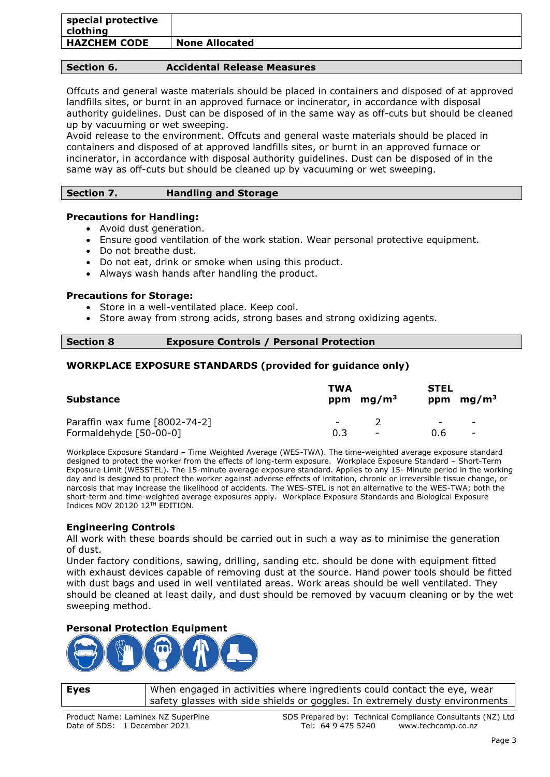| special protective<br>clothing |                       |
|--------------------------------|-----------------------|
| <b>HAZCHEM CODE</b>            | <b>None Allocated</b> |

## **Section 6. Accidental Release Measures**

Offcuts and general waste materials should be placed in containers and disposed of at approved landfills sites, or burnt in an approved furnace or incinerator, in accordance with disposal authority guidelines. Dust can be disposed of in the same way as off-cuts but should be cleaned up by vacuuming or wet sweeping.

Avoid release to the environment. Offcuts and general waste materials should be placed in containers and disposed of at approved landfills sites, or burnt in an approved furnace or incinerator, in accordance with disposal authority guidelines. Dust can be disposed of in the same way as off-cuts but should be cleaned up by vacuuming or wet sweeping.

## **Section 7. Handling and Storage**

### **Precautions for Handling:**

- Avoid dust generation.
- Ensure good ventilation of the work station. Wear personal protective equipment.
- Do not breathe dust.
- Do not eat, drink or smoke when using this product.
- Always wash hands after handling the product.

#### **Precautions for Storage:**

- Store in a well-ventilated place. Keep cool.
- Store away from strong acids, strong bases and strong oxidizing agents.

#### **Section 8 Exposure Controls / Personal Protection**

## **WORKPLACE EXPOSURE STANDARDS (provided for guidance only)**

| <b>Substance</b>              | TWA<br>mg/m <sup>3</sup><br>ppm | <b>STEL</b><br>ppm $mg/m3$                 |
|-------------------------------|---------------------------------|--------------------------------------------|
| Paraffin wax fume [8002-74-2] | $\overline{\phantom{a}}$        | $\overline{\phantom{0}}$<br>$\overline{a}$ |
| Formaldehyde [50-00-0]        | 0.3<br>$\overline{\phantom{a}}$ | 0.6<br>$\overline{\phantom{a}}$            |

Workplace Exposure Standard – Time Weighted Average (WES-TWA). The time-weighted average exposure standard designed to protect the worker from the effects of long-term exposure. Workplace Exposure Standard – Short-Term Exposure Limit (WESSTEL). The 15-minute average exposure standard. Applies to any 15- Minute period in the working day and is designed to protect the worker against adverse effects of irritation, chronic or irreversible tissue change, or narcosis that may increase the likelihood of accidents. The WES-STEL is not an alternative to the WES-TWA; both the short-term and time-weighted average exposures apply. Workplace Exposure Standards and Biological Exposure Indices NOV 20120 12TH EDITION.

### **Engineering Controls**

All work with these boards should be carried out in such a way as to minimise the generation of dust.

Under factory conditions, sawing, drilling, sanding etc. should be done with equipment fitted with exhaust devices capable of removing dust at the source. Hand power tools should be fitted with dust bags and used in well ventilated areas. Work areas should be well ventilated. They should be cleaned at least daily, and dust should be removed by vacuum cleaning or by the wet sweeping method.

### **Personal Protection Equipment**



**Eyes** | When engaged in activities where ingredients could contact the eye, wear safety glasses with side shields or goggles. In extremely dusty environments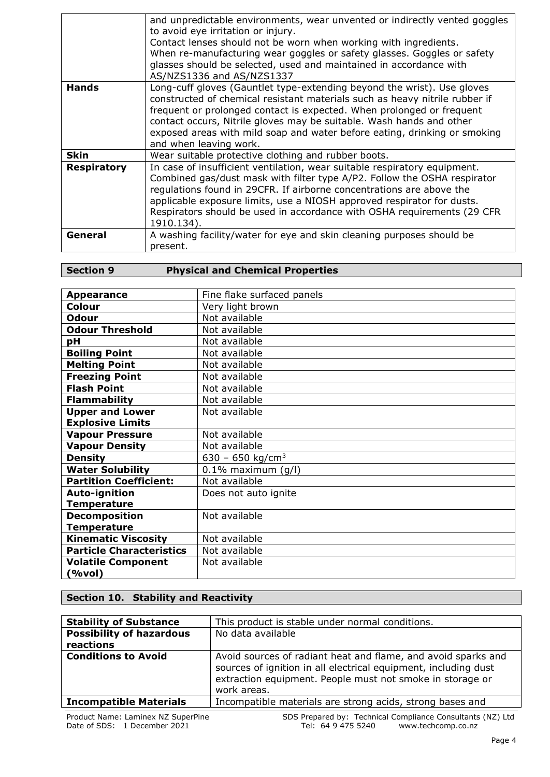|                    | and unpredictable environments, wear unvented or indirectly vented goggles<br>to avoid eye irritation or injury.<br>Contact lenses should not be worn when working with ingredients.<br>When re-manufacturing wear goggles or safety glasses. Goggles or safety<br>glasses should be selected, used and maintained in accordance with<br>AS/NZS1336 and AS/NZS1337                                             |
|--------------------|----------------------------------------------------------------------------------------------------------------------------------------------------------------------------------------------------------------------------------------------------------------------------------------------------------------------------------------------------------------------------------------------------------------|
| <b>Hands</b>       | Long-cuff gloves (Gauntlet type-extending beyond the wrist). Use gloves<br>constructed of chemical resistant materials such as heavy nitrile rubber if<br>frequent or prolonged contact is expected. When prolonged or frequent<br>contact occurs, Nitrile gloves may be suitable. Wash hands and other<br>exposed areas with mild soap and water before eating, drinking or smoking<br>and when leaving work. |
| <b>Skin</b>        | Wear suitable protective clothing and rubber boots.                                                                                                                                                                                                                                                                                                                                                            |
| <b>Respiratory</b> | In case of insufficient ventilation, wear suitable respiratory equipment.<br>Combined gas/dust mask with filter type A/P2. Follow the OSHA respirator<br>regulations found in 29CFR. If airborne concentrations are above the<br>applicable exposure limits, use a NIOSH approved respirator for dusts.<br>Respirators should be used in accordance with OSHA requirements (29 CFR<br>1910.134).               |
| General            | A washing facility/water for eye and skin cleaning purposes should be<br>present.                                                                                                                                                                                                                                                                                                                              |

## **Section 9 Physical and Chemical Properties**

| <b>Appearance</b>               | Fine flake surfaced panels   |
|---------------------------------|------------------------------|
|                                 |                              |
| Colour                          | Very light brown             |
| <b>Odour</b>                    | Not available                |
| <b>Odour Threshold</b>          | Not available                |
| pH                              | Not available                |
| <b>Boiling Point</b>            | Not available                |
| <b>Melting Point</b>            | Not available                |
| <b>Freezing Point</b>           | Not available                |
| <b>Flash Point</b>              | Not available                |
| <b>Flammability</b>             | Not available                |
| <b>Upper and Lower</b>          | Not available                |
| <b>Explosive Limits</b>         |                              |
| <b>Vapour Pressure</b>          | Not available                |
| <b>Vapour Density</b>           | Not available                |
| <b>Density</b>                  | 630 - 650 kg/cm <sup>3</sup> |
| <b>Water Solubility</b>         | $0.1\%$ maximum (g/l)        |
| <b>Partition Coefficient:</b>   | Not available                |
| <b>Auto-ignition</b>            | Does not auto ignite         |
| <b>Temperature</b>              |                              |
| <b>Decomposition</b>            | Not available                |
| <b>Temperature</b>              |                              |
| <b>Kinematic Viscosity</b>      | Not available                |
| <b>Particle Characteristics</b> | Not available                |
| <b>Volatile Component</b>       | Not available                |
| (%vol)                          |                              |

## **Section 10. Stability and Reactivity**

| <b>Stability of Substance</b>   | This product is stable under normal conditions.                                                                                                                                                              |
|---------------------------------|--------------------------------------------------------------------------------------------------------------------------------------------------------------------------------------------------------------|
| <b>Possibility of hazardous</b> | No data available                                                                                                                                                                                            |
| reactions                       |                                                                                                                                                                                                              |
| <b>Conditions to Avoid</b>      | Avoid sources of radiant heat and flame, and avoid sparks and<br>sources of ignition in all electrical equipment, including dust<br>extraction equipment. People must not smoke in storage or<br>work areas. |
| <b>Incompatible Materials</b>   | Incompatible materials are strong acids, strong bases and                                                                                                                                                    |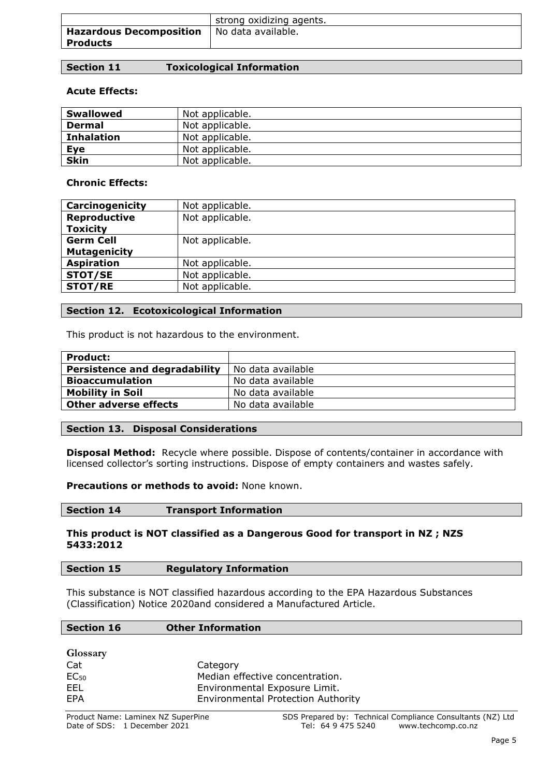|                                            | strong oxidizing agents. |
|--------------------------------------------|--------------------------|
| <b>Hazardous Decomposition</b><br>Products | No data available.       |
|                                            |                          |

## **Acute Effects:**

| <b>Swallowed</b>  | Not applicable. |
|-------------------|-----------------|
| <b>Dermal</b>     | Not applicable. |
| <b>Inhalation</b> | Not applicable. |
| <b>Eye</b>        | Not applicable. |
| <b>Skin</b>       | Not applicable. |

### **Chronic Effects:**

| Carcinogenicity     | Not applicable. |
|---------------------|-----------------|
| Reproductive        | Not applicable. |
| <b>Toxicity</b>     |                 |
| <b>Germ Cell</b>    | Not applicable. |
| <b>Mutagenicity</b> |                 |
| <b>Aspiration</b>   | Not applicable. |
| <b>STOT/SE</b>      | Not applicable. |
| <b>STOT/RE</b>      | Not applicable. |

### **Section 12. Ecotoxicological Information**

This product is not hazardous to the environment.

| <b>Product:</b>               |                   |
|-------------------------------|-------------------|
| Persistence and degradability | No data available |
| <b>Bioaccumulation</b>        | No data available |
| <b>Mobility in Soil</b>       | No data available |
| Other adverse effects         | No data available |

### **Section 13. Disposal Considerations**

**Disposal Method:** Recycle where possible. Dispose of contents/container in accordance with licensed collector's sorting instructions. Dispose of empty containers and wastes safely.

**Precautions or methods to avoid:** None known.

| <b>Section 14</b><br><b>Transport Information</b> |  |
|---------------------------------------------------|--|
|---------------------------------------------------|--|

#### **This product is NOT classified as a Dangerous Good for transport in NZ ; NZS 5433:2012**

## **Section 15 Regulatory Information**

This substance is NOT classified hazardous according to the EPA Hazardous Substances (Classification) Notice 2020and considered a Manufactured Article.

#### **Section 16 Other Information**

**Glossary**

| $\sim$ $\sim$ $\sim$ $\sim$ $\sim$ $\sim$ |                                           |
|-------------------------------------------|-------------------------------------------|
| Cat                                       | Category                                  |
| $EC_{50}$                                 | Median effective concentration.           |
| FFL                                       | Environmental Exposure Limit.             |
| FPA                                       | <b>Environmental Protection Authority</b> |
|                                           |                                           |